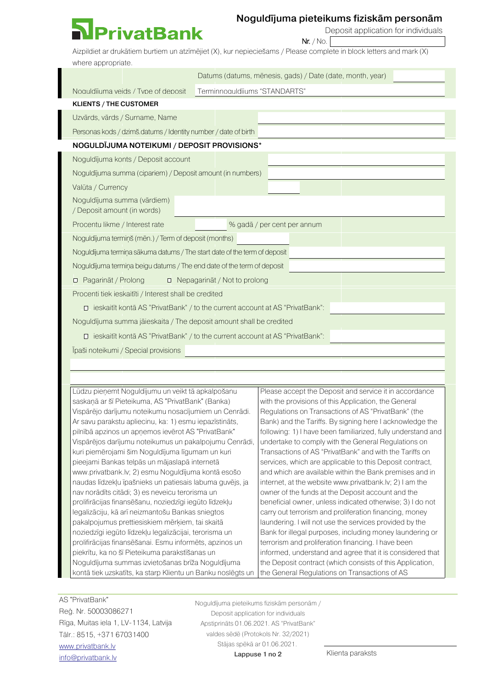## **PrivatBank**

## Noguldījuma pieteikums fiziskām personām

Nr. / No.

Deposit application for individuals

Aizpildiet ar drukātiem burtiem un atzīmējiet (X), kur nepieciešams / Please complete in block letters and mark (X) where appropriate.

|                                                                              | Datums (datums, mēnesis, gads) / Date (date, month, year) |  |
|------------------------------------------------------------------------------|-----------------------------------------------------------|--|
| Noquidiuma veids / Type of deposit                                           | Terminnoquidījums "STANDARTS"                             |  |
| KLIENTS / THE CUSTOMER                                                       |                                                           |  |
| Uzvārds, vārds / Surname, Name                                               |                                                           |  |
| Personas kods / dzimš.datums / Identity number / date of birth               |                                                           |  |
| NOGULDĪJUMA NOTEIKUMI / DEPOSIT PROVISIONS*                                  |                                                           |  |
| Noguldījuma konts / Deposit account                                          |                                                           |  |
| Noguldījuma summa (cipariem) / Deposit amount (in numbers)                   |                                                           |  |
| Valūta / Currency                                                            |                                                           |  |
| Noguldījuma summa (vārdiem)<br>/ Deposit amount (in words)                   |                                                           |  |
| Procentu likme / Interest rate                                               | % gadā / per cent per annum                               |  |
| Noguldījuma termiņš (mēn.) / Term of deposit (months)                        |                                                           |  |
| Noguldījuma termiņa sākuma datums / The start date of the term of deposit    |                                                           |  |
| Noguldījuma termiņa beigu datums / The end date of the term of deposit       |                                                           |  |
| Pagarināt / Prolong<br>$\Box$ Nepagarinat / Not to prolong<br>$\Box$         |                                                           |  |
| Procenti tiek ieskaitīti / Interest shall be credited                        |                                                           |  |
| ieskaitīt kontā AS "PrivatBank" / to the current account at AS "PrivatBank": |                                                           |  |
| Noguldījuma summa jāieskaita / The deposit amount shall be credited          |                                                           |  |
| ieskaitīt kontā AS "PrivatBank" / to the current account at AS "PrivatBank": |                                                           |  |
| Ipaši noteikumi / Special provisions                                         |                                                           |  |

Lūdzu pieņemt Noguldījumu un veikt tā apkalpošanu saskaņā ar šī Pieteikuma, AS "PrivatBank" (Banka) Vispārējo darījumu noteikumu nosacījumiem un Cenrādi. Ar savu parakstu apliecinu, ka: 1) esmu iepazīstināts, pilnībā apzinos un apņemos ievērot AS "PrivatBank" Vispārējos darījumu noteikumus un pakalpojumu Cenrādi, kuri piemērojami šim Noguldījuma līgumam un kuri pieejami Bankas telpās un mājaslapā internetā www.privatbank.lv; 2) esmu Noguldījuma kontā esošo naudas līdzekļu īpašnieks un patiesais labuma guvējs, ja nav norādīts citādi; 3) es neveicu terorisma un prolifirācijas finansēšanu, noziedzīgi iegūto līdzekļu legalizāciju, kā arī neizmantošu Bankas sniegtos pakalpojumus prettiesiskiem mērķiem, tai skaitā noziedzīgi iegūto līdzekļu legalizācijai, terorisma un prolifirācijas finansēšanai. Esmu informēts, apzinos un piekrītu, ka no šī Pieteikuma parakstīšanas un Noguldījuma summas izvietošanas brīža Noguldījuma kontā tiek uzskatīts, ka starp Klientu un Banku noslēgts un Please accept the Deposit and service it in accordance with the provisions of this Application, the General Regulations on Transactions of AS "PrivatBank" (the Bank) and the Tariffs. By signing here I acknowledge the following: 1) I have been familiarized, fully understand and undertake to comply with the General Regulations on Transactions of AS "PrivatBank" and with the Tariffs on services, which are applicable to this Deposit contract, and which are available within the Bank premises and in internet, at the website www.privatbank.lv; 2) I am the owner of the funds at the Deposit account and the beneficial owner, unless indicated otherwise; 3) I do not carry out terrorism and proliferation financing, money laundering. I will not use the services provided by the Bank for illegal purposes, including money laundering or terrorism and proliferation financing. I have been informed, understand and agree that it is considered that the Deposit contract (which consists of this Application, the General Regulations on Transactions of AS

AS "PrivatBank" Reģ. Nr. 50003086271 Rīga, Muitas iela 1, LV-1134, Latvija Tālr.: 8515, +371 67031400 [www.privatbank.lv](http://www.privatbank.lv/) [info@privatbank.lv](mailto:info@privatbank.lv)

Noguldījuma pieteikums fiziskām personām / Deposit application for individuals Apstiprināts 01.06.2021. AS "PrivatBank" valdes sēdē (Protokols Nr. 32/2021) Stājas spēkā ar 01.06.2021.

Lappuse 1 no 2 Klienta paraksts